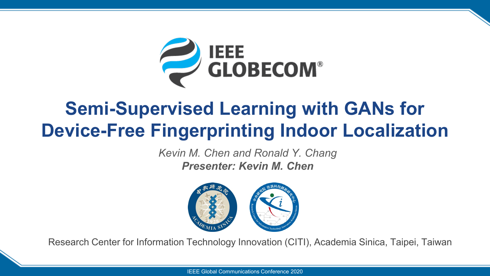

## **Semi-Supervised Learning with GANs for Device-Free Fingerprinting Indoor Localization**

*Kevin M. Chen and Ronald Y. Chang Presenter: Kevin M. Chen* 



Research Center for Information Technology Innovation (CITI), Academia Sinica, Taipei, Taiwan

IEEE Global Communications Conference 2020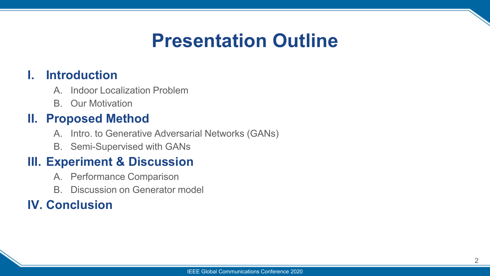## **Presentation Outline**

#### **I. Introduction**

- A. Indoor Localization Problem
- B. Our Motivation

#### **II. Proposed Method**

- A. Intro. to Generative Adversarial Networks (GANs)
- B. Semi-Supervised with GANs

#### **III. Experiment & Discussion**

- A. Performance Comparison
- B. Discussion on Generator model

#### **IV. Conclusion**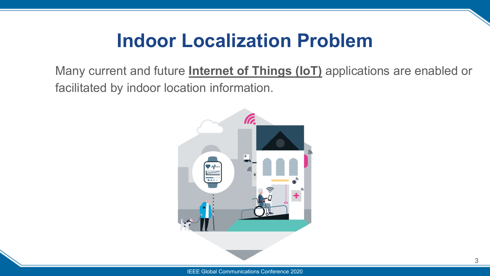## **Indoor Localization Problem**

Many current and future **Internet of Things (IoT)** applications are enabled or facilitated by indoor location information.

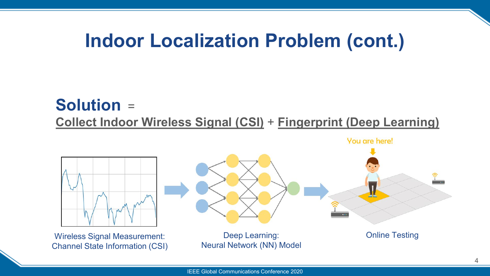### **Indoor Localization Problem (cont.)**

### **Solution** = **Collect Indoor Wireless Signal (CSI)** + **Fingerprint (Deep Learning)**

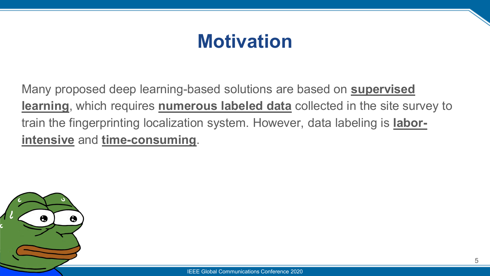## **Motivation**

Many proposed deep learning-based solutions are based on **supervised learning**, which requires **numerous labeled data** collected in the site survey to train the fingerprinting localization system. However, data labeling is **laborintensive** and **time-consuming**.

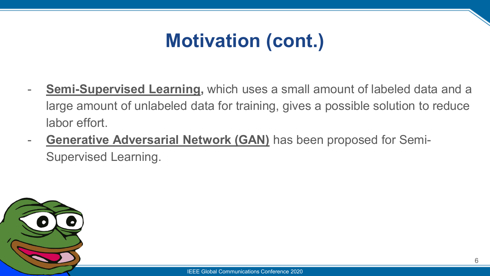# **Motivation (cont.)**

- **Semi-Supervised Learning,** which uses a small amount of labeled data and a large amount of unlabeled data for training, gives a possible solution to reduce labor effort.
- **Generative Adversarial Network (GAN)** has been proposed for Semi-Supervised Learning.

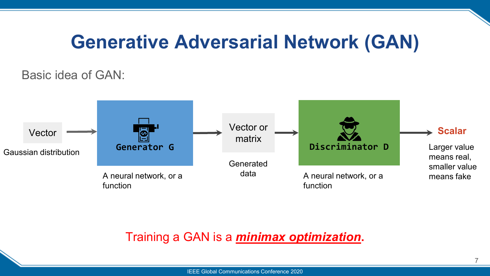### **Generative Adversarial Network (GAN)**

#### Basic idea of GAN:



#### Training a GAN is a *minimax optimization***.**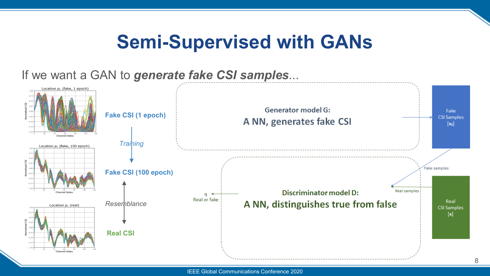## **Semi-Supervised with GANs**

#### If we want a GAN to *generate fake CSI samples*...

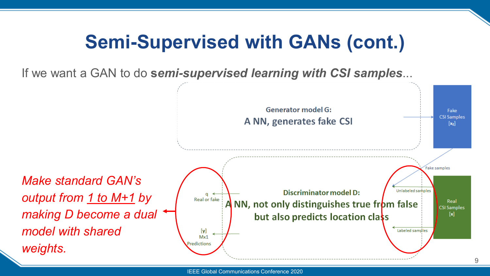# **Semi-Supervised with GANs (cont.)**

If we want a GAN to do **s***emi-supervised learning with CSI samples*...

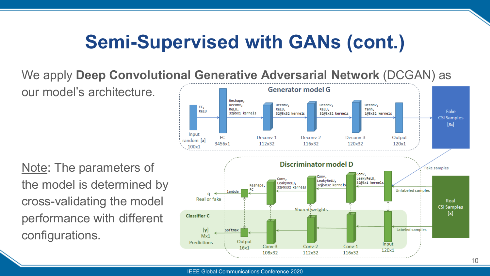# **Semi-Supervised with GANs (cont.)**

We apply **Deep Convolutional Generative Adversarial Network** (DCGAN) as

our model's architecture.

Note: The parameters of the model is determined by cross-validating the model performance with different configurations.

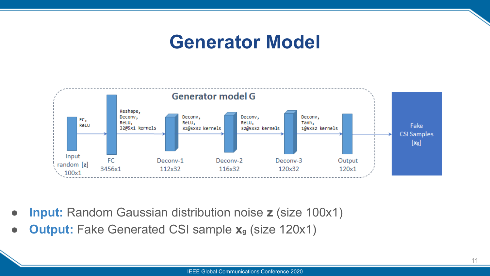### **Generator Model**



- **Input:** Random Gaussian distribution noise **z** (size 100x1)
- **Output:** Fake Generated CSI sample **x**<sub>g</sub> (size 120x1)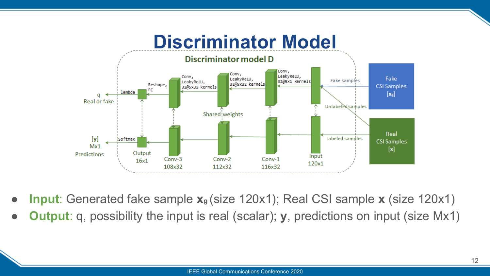

- **Input**: Generated fake sample  $\mathbf{x}_{g}$  (size 120x1); Real CSI sample **x** (size 120x1)
- **Output**: q, possibility the input is real (scalar); **y**, predictions on input (size Mx1)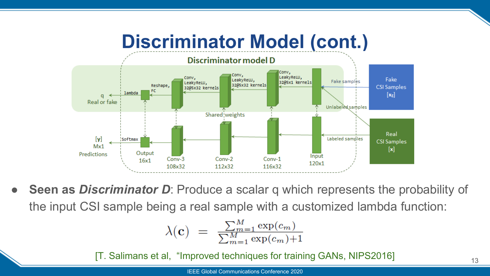

**Seen as** *Discriminator D*: Produce a scalar q which represents the probability of the input CSI sample being a real sample with a customized lambda function:

$$
\lambda(\mathbf{c}) = \frac{\sum_{m=1}^{M} \exp(c_m)}{\sum_{m=1}^{M} \exp(c_m) + 1}
$$

[T. Salimans et al, "Improved techniques for training GANs, NIPS2016]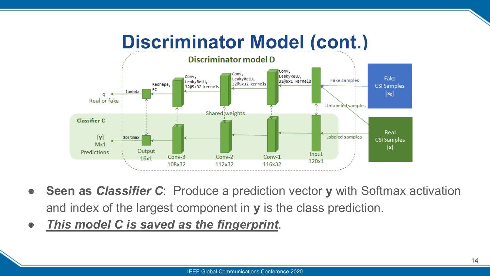

- **Seen as** *Classifier C*: Produce a prediction vector **y** with Softmax activation and index of the largest component in **y** is the class prediction.
- *This model C is saved as the fingerprint*.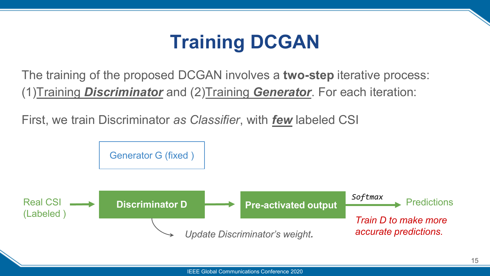# **Training DCGAN**

The training of the proposed DCGAN involves a **two-step** iterative process: (1)Training *Discriminator* and (2)Training *Generator*. For each iteration:

First, we train Discriminator *as Classifier*, with *few* labeled CSI

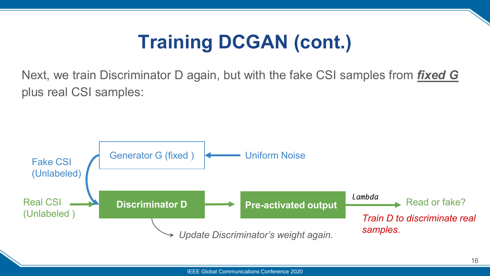# **Training DCGAN (cont.)**

Next, we train Discriminator D again, but with the fake CSI samples from *fixed G* plus real CSI samples:

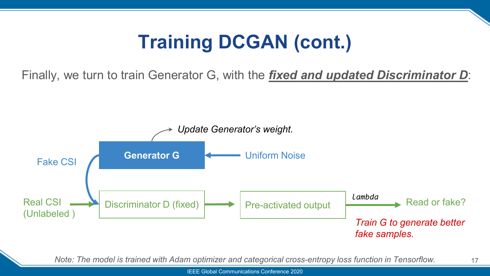# **Training DCGAN (cont.)**

Finally, we turn to train Generator G, with the *fixed and updated Discriminator D*:



*Note: The model is trained with Adam optimizer and categorical cross-entropy loss function in Tensorflow.* 

IEEE Global Communications Conference 2020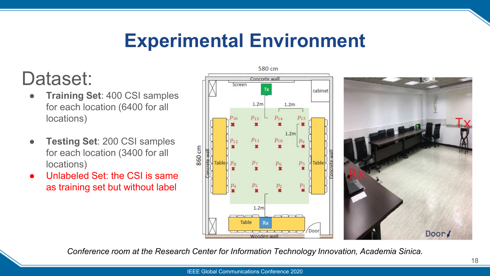## **Experimental Environment**

### Dataset:

- **Training Set**: 400 CSI samples for each location (6400 for all locations)
- **Testing Set: 200 CSI samples** for each location (3400 for all locations)
- Unlabeled Set: the CSI is same as training set but without label



580 cm

*Conference room at the Research Center for Information Technology Innovation, Academia Sinica.* 

Door!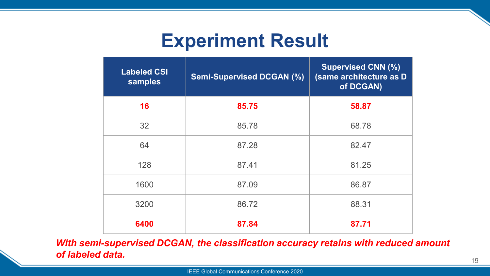## **Experiment Result**

| <b>Labeled CSI</b><br>samples | <b>Semi-Supervised DCGAN (%)</b> | <b>Supervised CNN (%)</b><br>(same architecture as D<br>of DCGAN) |
|-------------------------------|----------------------------------|-------------------------------------------------------------------|
| 16                            | 85.75                            | 58.87                                                             |
| 32                            | 85.78                            | 68.78                                                             |
| 64                            | 87.28                            | 82.47                                                             |
| 128                           | 87.41                            | 81.25                                                             |
| 1600                          | 87.09                            | 86.87                                                             |
| 3200                          | 86.72                            | 88.31                                                             |
| 6400                          | 87.84                            | 87.71                                                             |

*With semi-supervised DCGAN, the classification accuracy retains with reduced amount of labeled data.*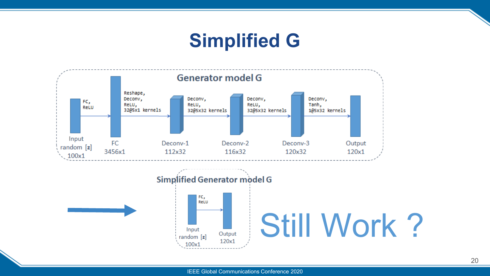## **Simplified G**

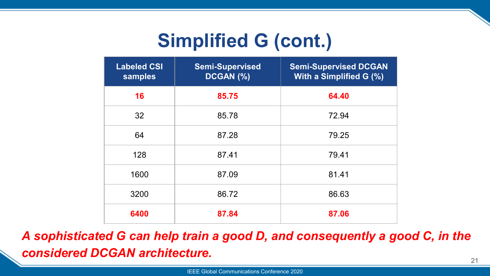# **Simplified G (cont.)**

| <b>Labeled CSI</b><br>samples | <b>Semi-Supervised</b><br>DCGAN (%) | <b>Semi-Supervised DCGAN</b><br>With a Simplified G (%) |
|-------------------------------|-------------------------------------|---------------------------------------------------------|
| 16                            | 85.75                               | 64.40                                                   |
| 32                            | 85.78                               | 72.94                                                   |
| 64                            | 87.28                               | 79.25                                                   |
| 128                           | 87.41                               | 79.41                                                   |
| 1600                          | 87.09                               | 81.41                                                   |
| 3200                          | 86.72                               | 86.63                                                   |
| 6400                          | 87.84                               | 87.06                                                   |

*A sophisticated G can help train a good D, and consequently a good C, in the considered DCGAN architecture.*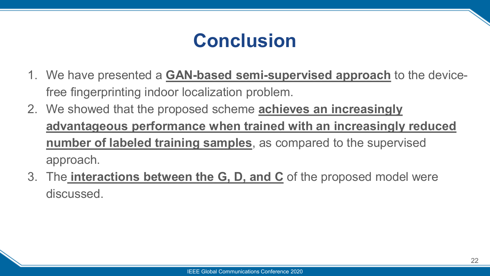# **Conclusion**

- 1. We have presented a **GAN-based semi-supervised approach** to the devicefree fingerprinting indoor localization problem.
- 2. We showed that the proposed scheme **achieves an increasingly advantageous performance when trained with an increasingly reduced number of labeled training samples**, as compared to the supervised approach.
- 3. The **interactions between the G, D, and C** of the proposed model were discussed.